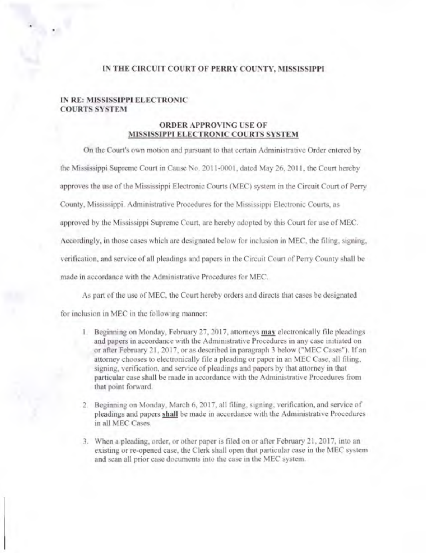## IN THE CIRCUIT COURT OF PERRY COUNTY, MISSISSIPPI

## IN RE: MISSISSIPPI ELECTRONIC COURTS SYSTEM

Ì

## ORDER APPROVING USE OF MISSISSIPPI ELECTRONIC COURTS SYSTEM

On the Court's own motion and pursuant to that certain Administrative Order entered by

the Mississippi Supreme Court in Cause No. 2011-0001, dated May 26, 2011, the Court hereby

approves the use of the Mississippi Electronic Courts (MEC) system in the Circuit Court of Perry

County, Mississippi. Administrative Procedures for the Mississippi Electronic Courts. as

approved by the Mississippi Supreme Court, are hereby adopted by this Court for use of MEC.

Accordingly, in those cases which arc designated below for inclusion in MEC, the filing, signing,

verification, and service of all pleadings and papers in the Circuit Court of Perry County shall be

made in accordance with the Administrative Procedures for MEC.

As part of the use of MEC, the Court hereby orders and directs that cases be designated

for inclusion in MEC in the following manner:

- I. Beginning on Monday, February 27. 2017, attorneys may electronically file pleadings and papas in accordance with the Administrative Procedures in any case initiated on or after February 21, 2017, or as described in paragraph 3 below ("MEC Case?). If an attorney chooses to electronically file a pleading or paper in an MEC Case, all filing. signing, verification, and service of pleadings and papers by that attorney in that particular case shall be made in accordance with the Administrative Procedures from that point forward.
- 2. Beginning on Monday, March 6, 2017, all filing, signing, verification, and service of pleadings and papers shall be made in accordance with the Administrative Procedures in all MEC Cases.
- 3. When a pleading, order, or other paper is filed on or after February 21,2017, into an existing or re-opened case, the Clerk shall open that particular case in the MEC system and scan all prior case documents into the case in the MEC system.